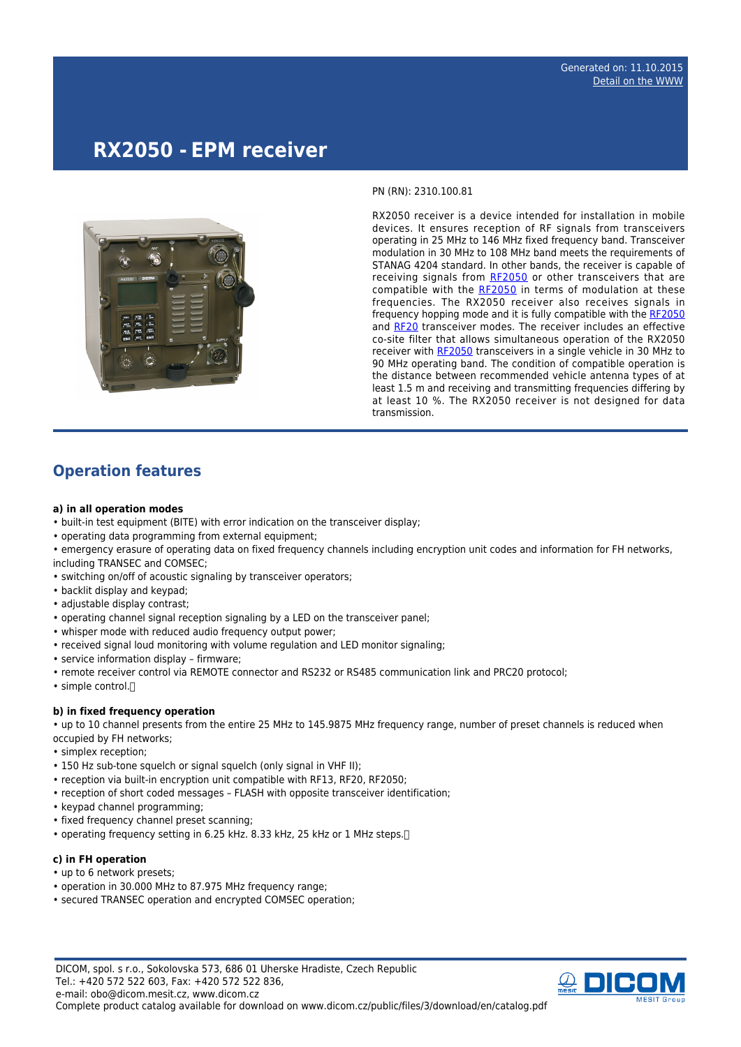# **RX2050 - EPM receiver**



PN (RN): 2310.100.81

RX2050 receiver is a device intended for installation in mobile devices. It ensures reception of RF signals from transceivers operating in 25 MHz to 146 MHz fixed frequency band. Transceiver modulation in 30 MHz to 108 MHz band meets the requirements of STANAG 4204 standard. In other bands, the receiver is capable of receiving signals from [RF2050](http://www.dicom.cz/en/product/932-epm-mobile-transceiver) or other transceivers that are compatible with the [RF2050](http://www.dicom.cz/en/product/932-epm-mobile-transceiver) in terms of modulation at these frequencies. The RX2050 receiver also receives signals in frequency hopping mode and it is fully compatible with the [RF2050](http://www.dicom.cz/en/product/932-epm-mobile-transceiver) and [RF20](http://www.dicom.cz/en/product/352-epm-handheld-transceiver) transceiver modes. The receiver includes an effective co-site filter that allows simultaneous operation of the RX2050 receiver with [RF2050](http://www.dicom.cz/en/product/932-epm-mobile-transceiver) transceivers in a single vehicle in 30 MHz to 90 MHz operating band. The condition of compatible operation is the distance between recommended vehicle antenna types of at least 1.5 m and receiving and transmitting frequencies differing by at least 10 %. The RX2050 receiver is not designed for data transmission.

### **Operation features**

#### **a) in all operation modes**

- built-in test equipment (BITE) with error indication on the transceiver display;
- operating data programming from external equipment;
- emergency erasure of operating data on fixed frequency channels including encryption unit codes and information for FH networks, including TRANSEC and COMSEC;
- switching on/off of acoustic signaling by transceiver operators;
- backlit display and keypad;
- adjustable display contrast;
- operating channel signal reception signaling by a LED on the transceiver panel;
- whisper mode with reduced audio frequency output power;
- received signal loud monitoring with volume regulation and LED monitor signaling;
- service information display firmware;
- remote receiver control via REMOTE connector and RS232 or RS485 communication link and PRC20 protocol;
- simple control.[]

#### **b) in fixed frequency operation**

• up to 10 channel presents from the entire 25 MHz to 145.9875 MHz frequency range, number of preset channels is reduced when occupied by FH networks;

- simplex reception;
- 150 Hz sub-tone squelch or signal squelch (only signal in VHF II);
- reception via built-in encryption unit compatible with RF13, RF20, RF2050;
- reception of short coded messages FLASH with opposite transceiver identification;
- keypad channel programming:
- fixed frequency channel preset scanning;
- operating frequency setting in 6.25 kHz. 8.33 kHz, 25 kHz or 1 MHz steps.

#### **c) in FH operation**

- up to 6 network presets;
- operation in 30.000 MHz to 87.975 MHz frequency range;
- secured TRANSEC operation and encrypted COMSEC operation;

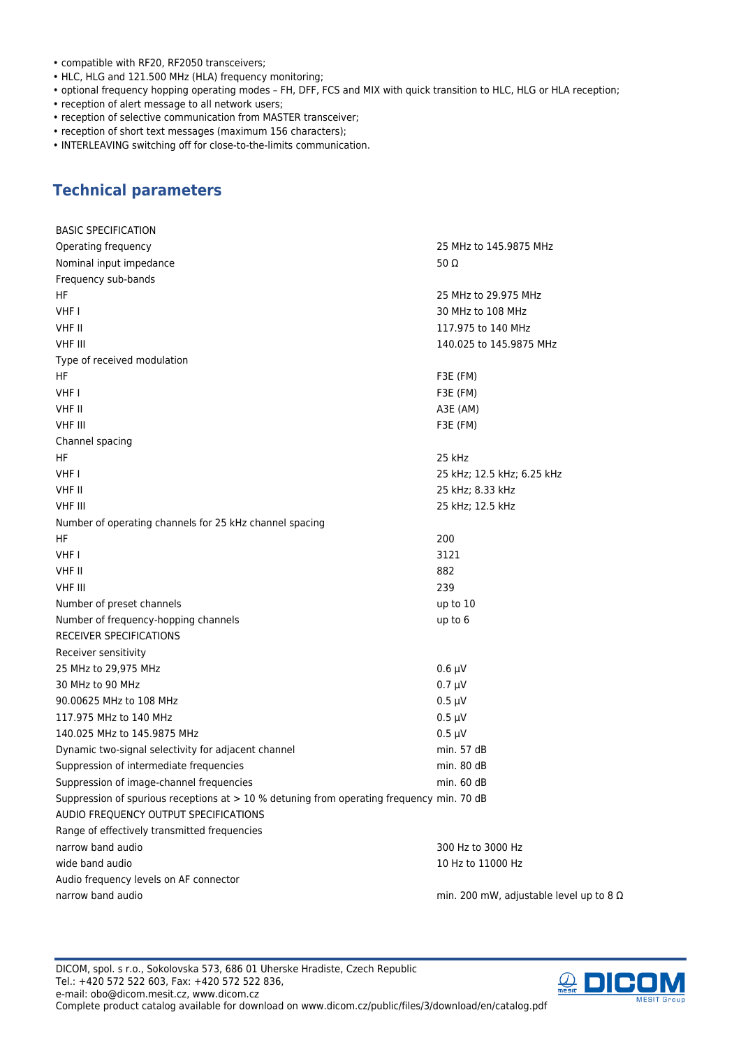- compatible with RF20, RF2050 transceivers;
- HLC, HLG and 121.500 MHz (HLA) frequency monitoring;
- optional frequency hopping operating modes FH, DFF, FCS and MIX with quick transition to HLC, HLG or HLA reception;
- reception of alert message to all network users;
- reception of selective communication from MASTER transceiver;
- reception of short text messages (maximum 156 characters);
- INTERLEAVING switching off for close-to-the-limits communication.

### **Technical parameters**

| <b>BASIC SPECIFICATION</b>                                                                  |                                                |
|---------------------------------------------------------------------------------------------|------------------------------------------------|
| Operating frequency                                                                         | 25 MHz to 145.9875 MHz                         |
| Nominal input impedance                                                                     | 50 $\Omega$                                    |
| Frequency sub-bands                                                                         |                                                |
| HF                                                                                          | 25 MHz to 29.975 MHz                           |
| VHF I                                                                                       | 30 MHz to 108 MHz                              |
| VHF II                                                                                      | 117.975 to 140 MHz                             |
| <b>VHF III</b>                                                                              | 140.025 to 145.9875 MHz                        |
| Type of received modulation                                                                 |                                                |
| HF                                                                                          | F3E (FM)                                       |
| VHF I                                                                                       | F3E (FM)                                       |
| VHF II                                                                                      | A3E (AM)                                       |
| <b>VHF III</b>                                                                              | F3E (FM)                                       |
| Channel spacing                                                                             |                                                |
| HF                                                                                          | 25 kHz                                         |
| VHF I                                                                                       | 25 kHz; 12.5 kHz; 6.25 kHz                     |
| VHF II                                                                                      | 25 kHz; 8.33 kHz                               |
| <b>VHF III</b>                                                                              | 25 kHz; 12.5 kHz                               |
| Number of operating channels for 25 kHz channel spacing                                     |                                                |
| HF                                                                                          | 200                                            |
| VHF I                                                                                       | 3121                                           |
| VHF II                                                                                      | 882                                            |
| <b>VHF III</b>                                                                              | 239                                            |
| Number of preset channels                                                                   | up to 10                                       |
| Number of frequency-hopping channels                                                        | up to 6                                        |
| <b>RECEIVER SPECIFICATIONS</b>                                                              |                                                |
| Receiver sensitivity                                                                        |                                                |
| 25 MHz to 29,975 MHz                                                                        | $0.6 \mu V$                                    |
| 30 MHz to 90 MHz                                                                            | $0.7 \mu V$                                    |
| 90.00625 MHz to 108 MHz                                                                     | $0.5 \mu V$                                    |
| 117.975 MHz to 140 MHz                                                                      | $0.5 \mu V$                                    |
| 140.025 MHz to 145.9875 MHz                                                                 | $0.5 \mu V$                                    |
| Dynamic two-signal selectivity for adjacent channel                                         | min. 57 dB                                     |
| Suppression of intermediate frequencies                                                     | min. 80 dB                                     |
| Suppression of image-channel frequencies                                                    | min. 60 dB                                     |
| Suppression of spurious receptions at $> 10$ % detuning from operating frequency min. 70 dB |                                                |
| AUDIO FREQUENCY OUTPUT SPECIFICATIONS                                                       |                                                |
| Range of effectively transmitted frequencies                                                |                                                |
| narrow band audio                                                                           | 300 Hz to 3000 Hz                              |
| wide band audio                                                                             | 10 Hz to 11000 Hz                              |
| Audio frequency levels on AF connector                                                      |                                                |
| narrow band audio                                                                           | min. 200 mW, adjustable level up to 8 $\Omega$ |

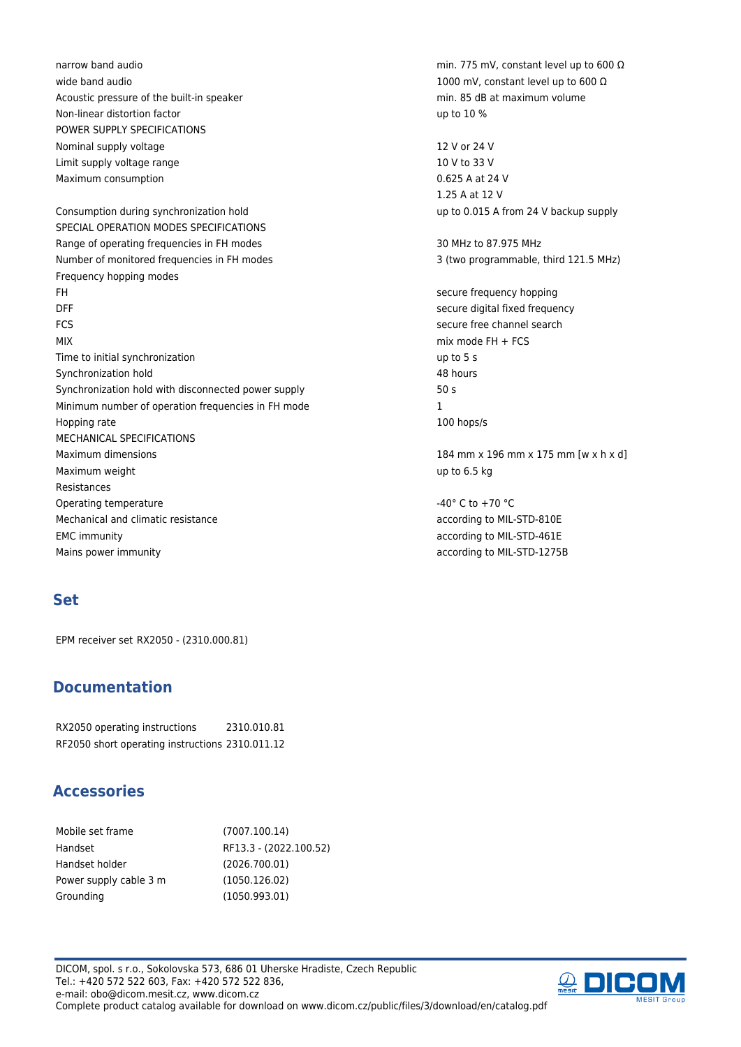wide band audio 1000 mV, constant level up to 600 Ω Acoustic pressure of the built-in speaker min. 85 dB at maximum volume Non-linear distortion factor and the state of the state of the state of the state of the state of the state of the state of the state of the state of the state of the state of the state of the state of the state of the sta POWER SUPPLY SPECIFICATIONS Nominal supply voltage 12 V or 24 V Limit supply voltage range 10 V to 33 V Maximum consumption 0.625 A at 24 V Consumption during synchronization hold up to 0.015 A from 24 V backup supply SPECIAL OPERATION MODES SPECIFICATIONS Range of operating frequencies in FH modes 30 MHz to 87.975 MHz Number of monitored frequencies in FH modes 3 (two programmable, third 121.5 MHz) Frequency hopping modes FH secure frequency hopping DFF secure digital fixed frequency FCS secure free channel search MIX mix mode FH + FCS Time to initial synchronization up to 5 s Synchronization hold 48 hours Synchronization hold with disconnected power supply 50 s Minimum number of operation frequencies in FH mode 1 Hopping rate 100 hops/s MECHANICAL SPECIFICATIONS Maximum dimensions 184 mm x 196 mm x 175 mm [w x h x d] Maximum weight up to 6.5 kg Resistances Operating temperature  $-40^{\circ}$  C to  $+70^{\circ}$ C Mechanical and climatic resistance according to MIL-STD-810E EMC immunity according to MIL-STD-461E Mains power immunity according to MIL-STD-1275B

### **Set**

EPM receiver set RX2050 - (2310.000.81)

## **Documentation**

RX2050 operating instructions 2310.010.81 RF2050 short operating instructions 2310.011.12

### **Accessories**

| Mobile set frame       | (7007.100.14)          |
|------------------------|------------------------|
| Handset                | RF13.3 - (2022.100.52) |
| Handset holder         | (2026.700.01)          |
| Power supply cable 3 m | (1050.126.02)          |
| Grounding              | (1050.993.01)          |

DICOM, spol. s r.o., Sokolovska 573, 686 01 Uherske Hradiste, Czech Republic Tel.: +420 572 522 603, Fax: +420 572 522 836, e-mail: obo@dicom.mesit.cz, www.dicom.cz Complete product catalog available for download on www.dicom.cz/public/files/3/download/en/catalog.pdf

narrow band audio min. 775 mV, constant level up to 600 Ω

1.25 A at 12 V